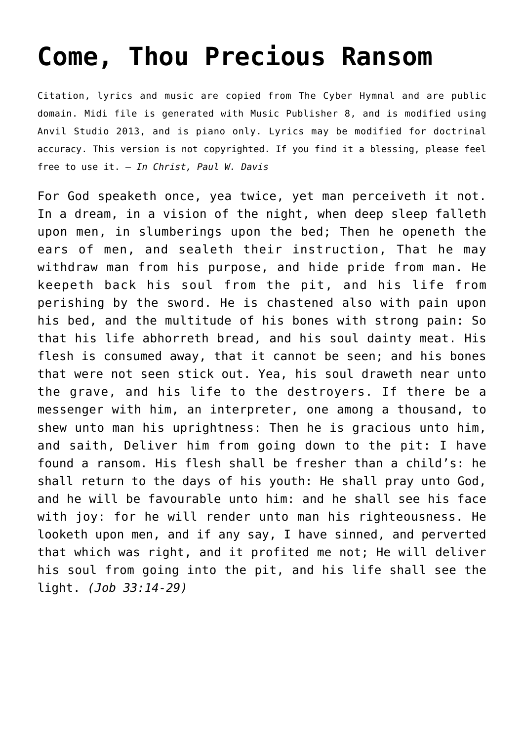## **[Come, Thou Precious Ransom](http://reproachofmen.org/hymns-and-music/come-thou-precious-ransom/)**

Citation, lyrics and music are copied from [The Cyber Hymnal](http://www.hymntime.com/tch/) and are public domain. Midi file is generated with [Music Publisher 8](http://www.braeburn.co.uk/mp.htm), and is modified using [Anvil Studio 2013](http://www.anvilstudio.com/), and is piano only. Lyrics may be modified for doctrinal accuracy. This version is not copyrighted. If you find it a blessing, please feel free to use it. — *In Christ, Paul W. Davis*

For God speaketh once, yea twice, yet man perceiveth it not. In a dream, in a vision of the night, when deep sleep falleth upon men, in slumberings upon the bed; Then he openeth the ears of men, and sealeth their instruction, That he may withdraw man from his purpose, and hide pride from man. He keepeth back his soul from the pit, and his life from perishing by the sword. He is chastened also with pain upon his bed, and the multitude of his bones with strong pain: So that his life abhorreth bread, and his soul dainty meat. His flesh is consumed away, that it cannot be seen; and his bones that were not seen stick out. Yea, his soul draweth near unto the grave, and his life to the destroyers. If there be a messenger with him, an interpreter, one among a thousand, to shew unto man his uprightness: Then he is gracious unto him, and saith, Deliver him from going down to the pit: I have found a ransom. His flesh shall be fresher than a child's: he shall return to the days of his youth: He shall pray unto God, and he will be favourable unto him: and he shall see his face with joy: for he will render unto man his righteousness. He looketh upon men, and if any say, I have sinned, and perverted that which was right, and it profited me not; He will deliver his soul from going into the pit, and his life shall see the light. *(Job 33:14-29)*